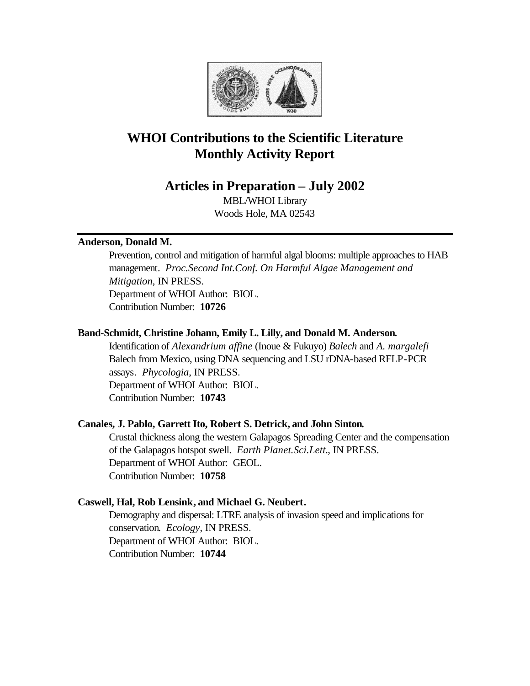

# **WHOI Contributions to the Scientific Literature Monthly Activity Report**

# **Articles in Preparation – July 2002**

MBL/WHOI Library Woods Hole, MA 02543

# **Anderson, Donald M.**

Prevention, control and mitigation of harmful algal blooms: multiple approaches to HAB management. *Proc.Second Int.Conf. On Harmful Algae Management and Mitigation*, IN PRESS. Department of WHOI Author: BIOL. Contribution Number: **10726**

# **Band-Schmidt, Christine Johann, Emily L. Lilly, and Donald M. Anderson.**

Identification of *Alexandrium affine* (Inoue & Fukuyo) *Balech* and *A. margalefi* Balech from Mexico, using DNA sequencing and LSU rDNA-based RFLP-PCR assays. *Phycologia*, IN PRESS. Department of WHOI Author: BIOL. Contribution Number: **10743**

# **Canales, J. Pablo, Garrett Ito, Robert S. Detrick, and John Sinton.**

Crustal thickness along the western Galapagos Spreading Center and the compensation of the Galapagos hotspot swell. *Earth Planet.Sci.Lett.*, IN PRESS. Department of WHOI Author: GEOL. Contribution Number: **10758**

# **Caswell, Hal, Rob Lensink, and Michael G. Neubert.**

Demography and dispersal: LTRE analysis of invasion speed and implications for conservation. *Ecology*, IN PRESS. Department of WHOI Author: BIOL. Contribution Number: **10744**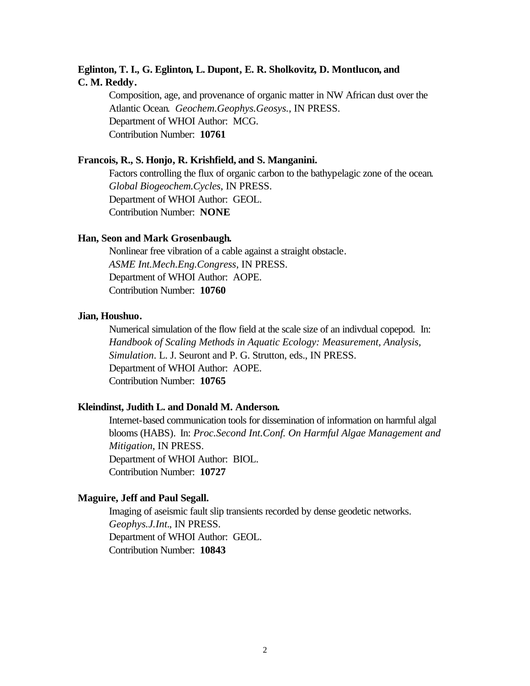# **Eglinton, T. I., G. Eglinton, L. Dupont, E. R. Sholkovitz, D. Montlucon, and C. M. Reddy.**

Composition, age, and provenance of organic matter in NW African dust over the Atlantic Ocean. *Geochem.Geophys.Geosys.*, IN PRESS. Department of WHOI Author: MCG. Contribution Number: **10761**

#### **Francois, R., S. Honjo, R. Krishfield, and S. Manganini.**

Factors controlling the flux of organic carbon to the bathypelagic zone of the ocean. *Global Biogeochem.Cycles*, IN PRESS. Department of WHOI Author: GEOL. Contribution Number: **NONE**

# **Han, Seon and Mark Grosenbaugh.**

Nonlinear free vibration of a cable against a straight obstacle. *ASME Int.Mech.Eng.Congress*, IN PRESS. Department of WHOI Author: AOPE. Contribution Number: **10760**

## **Jian, Houshuo.**

Numerical simulation of the flow field at the scale size of an indivdual copepod. In: *Handbook of Scaling Methods in Aquatic Ecology: Measurement, Analysis, Simulation*. L. J. Seuront and P. G. Strutton, eds., IN PRESS. Department of WHOI Author: AOPE. Contribution Number: **10765**

# **Kleindinst, Judith L. and Donald M. Anderson.**

Internet-based communication tools for dissemination of information on harmful algal blooms (HABS). In: *Proc.Second Int.Conf. On Harmful Algae Management and Mitigation*, IN PRESS. Department of WHOI Author: BIOL. Contribution Number: **10727**

#### **Maguire, Jeff and Paul Segall.**

Imaging of aseismic fault slip transients recorded by dense geodetic networks. *Geophys.J.Int.*, IN PRESS. Department of WHOI Author: GEOL. Contribution Number: **10843**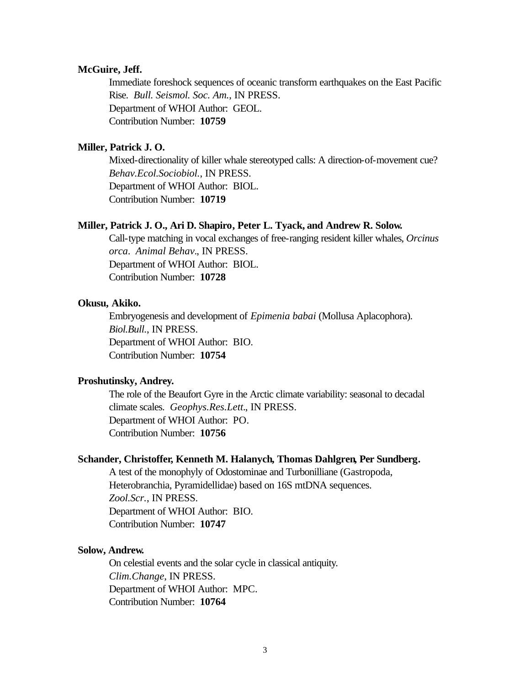## **McGuire, Jeff.**

Immediate foreshock sequences of oceanic transform earthquakes on the East Pacific Rise. *Bull. Seismol. Soc. Am.*, IN PRESS. Department of WHOI Author: GEOL. Contribution Number: **10759**

# **Miller, Patrick J. O.**

Mixed-directionality of killer whale stereotyped calls: A direction-of-movement cue? *Behav.Ecol.Sociobiol.*, IN PRESS. Department of WHOI Author: BIOL. Contribution Number: **10719**

## **Miller, Patrick J. O., Ari D. Shapiro, Peter L. Tyack, and Andrew R. Solow.**

Call-type matching in vocal exchanges of free-ranging resident killer whales, *Orcinus orca*. *Animal Behav.*, IN PRESS. Department of WHOI Author: BIOL. Contribution Number: **10728**

## **Okusu, Akiko.**

Embryogenesis and development of *Epimenia babai* (Mollusa Aplacophora). *Biol.Bull.*, IN PRESS. Department of WHOI Author: BIO. Contribution Number: **10754**

# **Proshutinsky, Andrey.**

The role of the Beaufort Gyre in the Arctic climate variability: seasonal to decadal climate scales. *Geophys.Res.Lett.*, IN PRESS. Department of WHOI Author: PO. Contribution Number: **10756**

## **Schander, Christoffer, Kenneth M. Halanych, Thomas Dahlgren, Per Sundberg.**

A test of the monophyly of Odostominae and Turbonilliane (Gastropoda, Heterobranchia, Pyramidellidae) based on 16S mtDNA sequences. *Zool.Scr.*, IN PRESS. Department of WHOI Author: BIO. Contribution Number: **10747**

#### **Solow, Andrew.**

On celestial events and the solar cycle in classical antiquity. *Clim.Change*, IN PRESS. Department of WHOI Author: MPC. Contribution Number: **10764**